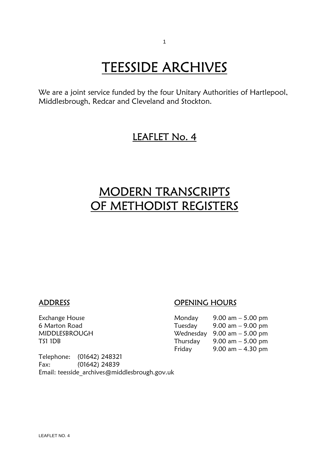# **TEESSIDE ARCHIVES**<br>We are a joint service funded by the four Unitary Authorities of Hartlepool,

Middlesbrough, Redcar and Cleveland and Stockton.

### LEAFLET No. 4

### MODERN TRANSCRIPTS OF METHODIST REGISTERS

#### ADDRESS OPENING HOURS

| Exchange House | Monday   | 9.00 am $-$ 5.00 pm                           |
|----------------|----------|-----------------------------------------------|
| 6 Marton Road  | Tuesday  | $9.00 \text{ am} - 9.00 \text{ pm}$           |
| MIDDLESBROUGH  |          | Wednesday $9.00 \text{ am} - 5.00 \text{ pm}$ |
| TS1 1DB        | Thursday | 9.00 am $-$ 5.00 pm                           |
|                | Friday   | $9.00$ am $-4.30$ pm                          |

Telephone: (01642) 248321 Fax: (01642) 24839 Email: teesside\_archives@middlesbrough.gov.uk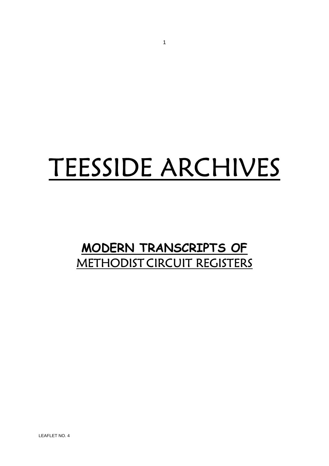# TEESSIDE ARCHIVES

## **MODERN TRANSCRIPTS OF** METHODIST CIRCUIT REGISTERS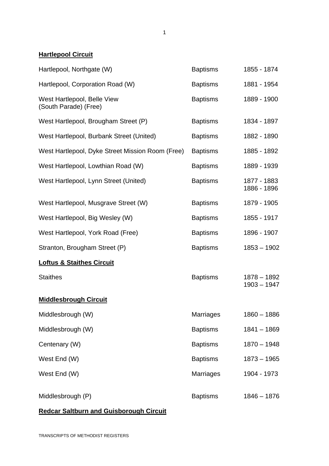1

#### **Hartlepool Circuit**

| Hartlepool, Northgate (W)                            | <b>Baptisms</b>  | 1855 - 1874                    |
|------------------------------------------------------|------------------|--------------------------------|
| Hartlepool, Corporation Road (W)                     | <b>Baptisms</b>  | 1881 - 1954                    |
| West Hartlepool, Belle View<br>(South Parade) (Free) | <b>Baptisms</b>  | 1889 - 1900                    |
| West Hartlepool, Brougham Street (P)                 | <b>Baptisms</b>  | 1834 - 1897                    |
| West Hartlepool, Burbank Street (United)             | <b>Baptisms</b>  | 1882 - 1890                    |
| West Hartlepool, Dyke Street Mission Room (Free)     | <b>Baptisms</b>  | 1885 - 1892                    |
| West Hartlepool, Lowthian Road (W)                   | <b>Baptisms</b>  | 1889 - 1939                    |
| West Hartlepool, Lynn Street (United)                | <b>Baptisms</b>  | 1877 - 1883<br>1886 - 1896     |
| West Hartlepool, Musgrave Street (W)                 | <b>Baptisms</b>  | 1879 - 1905                    |
| West Hartlepool, Big Wesley (W)                      | <b>Baptisms</b>  | 1855 - 1917                    |
| West Hartlepool, York Road (Free)                    | <b>Baptisms</b>  | 1896 - 1907                    |
| Stranton, Brougham Street (P)                        | <b>Baptisms</b>  | $1853 - 1902$                  |
| <b>Loftus &amp; Staithes Circuit</b>                 |                  |                                |
| <b>Staithes</b>                                      | <b>Baptisms</b>  | $1878 - 1892$<br>$1903 - 1947$ |
| <b>Middlesbrough Circuit</b>                         |                  |                                |
| Middlesbrough (W)                                    | <b>Marriages</b> | $1860 - 1886$                  |
| Middlesbrough (W)                                    | <b>Baptisms</b>  | $1841 - 1869$                  |
| Centenary (W)                                        | <b>Baptisms</b>  | $1870 - 1948$                  |
| West End (W)                                         | <b>Baptisms</b>  | $1873 - 1965$                  |
| West End (W)                                         | Marriages        | 1904 - 1973                    |
| Middlesbrough (P)                                    | <b>Baptisms</b>  | $1846 - 1876$                  |

#### **Redcar Saltburn and Guisborough Circuit**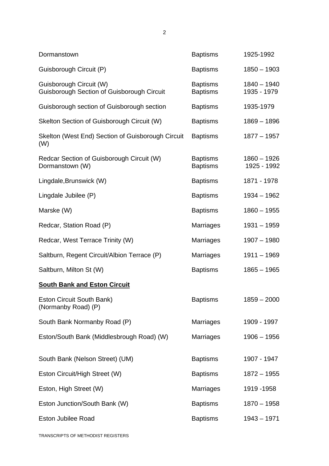| Dormanstown                                                                  | <b>Baptisms</b>                    | 1925-1992                    |
|------------------------------------------------------------------------------|------------------------------------|------------------------------|
| Guisborough Circuit (P)                                                      | <b>Baptisms</b>                    | $1850 - 1903$                |
| Guisborough Circuit (W)<br><b>Guisborough Section of Guisborough Circuit</b> | <b>Baptisms</b><br><b>Baptisms</b> | $1840 - 1940$<br>1935 - 1979 |
| Guisborough section of Guisborough section                                   | <b>Baptisms</b>                    | 1935-1979                    |
| Skelton Section of Guisborough Circuit (W)                                   | <b>Baptisms</b>                    | $1869 - 1896$                |
| Skelton (West End) Section of Guisborough Circuit<br>(W)                     | <b>Baptisms</b>                    | $1877 - 1957$                |
| Redcar Section of Guisborough Circuit (W)<br>Dormanstown (W)                 | <b>Baptisms</b><br><b>Baptisms</b> | $1860 - 1926$<br>1925 - 1992 |
| Lingdale, Brunswick (W)                                                      | <b>Baptisms</b>                    | 1871 - 1978                  |
| Lingdale Jubilee (P)                                                         | <b>Baptisms</b>                    | $1934 - 1962$                |
| Marske (W)                                                                   | <b>Baptisms</b>                    | $1860 - 1955$                |
| Redcar, Station Road (P)                                                     | <b>Marriages</b>                   | $1931 - 1959$                |
| Redcar, West Terrace Trinity (W)                                             | Marriages                          | $1907 - 1980$                |
| Saltburn, Regent Circuit/Albion Terrace (P)                                  | Marriages                          | $1911 - 1969$                |
| Saltburn, Milton St (W)                                                      | <b>Baptisms</b>                    | $1865 - 1965$                |
| <b>South Bank and Eston Circuit</b>                                          |                                    |                              |
| Eston Circuit South Bank)<br>(Normanby Road) (P)                             | <b>Baptisms</b>                    | $1859 - 2000$                |
| South Bank Normanby Road (P)                                                 | Marriages                          | 1909 - 1997                  |
| Eston/South Bank (Middlesbrough Road) (W)                                    | <b>Marriages</b>                   | $1906 - 1956$                |
| South Bank (Nelson Street) (UM)                                              | <b>Baptisms</b>                    | 1907 - 1947                  |
| Eston Circuit/High Street (W)                                                | <b>Baptisms</b>                    | $1872 - 1955$                |
| Eston, High Street (W)                                                       | <b>Marriages</b>                   | 1919 - 1958                  |
| Eston Junction/South Bank (W)                                                | <b>Baptisms</b>                    | $1870 - 1958$                |
| Eston Jubilee Road                                                           | <b>Baptisms</b>                    | $1943 - 1971$                |